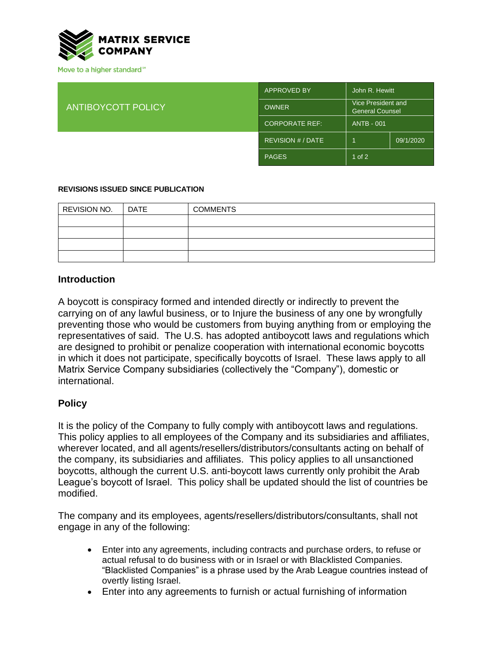

Move to a higher standard<sup>™</sup>

| <b>ANTIBOYCOTT POLICY</b> | <b>APPROVED BY</b>     | John R. Hewitt                               |           |
|---------------------------|------------------------|----------------------------------------------|-----------|
|                           | <b>OWNER</b>           | Vice President and<br><b>General Counsel</b> |           |
|                           | <b>CORPORATE REF:</b>  | <b>ANTB - 001</b>                            |           |
|                           | <b>REVISION #/DATE</b> |                                              | 09/1/2020 |
|                           | <b>PAGES</b>           | $1$ of $2$                                   |           |

#### **REVISIONS ISSUED SINCE PUBLICATION**

| REVISION NO. | DATE | <b>COMMENTS</b> |
|--------------|------|-----------------|
|              |      |                 |
|              |      |                 |
|              |      |                 |
|              |      |                 |

#### **Introduction**

A boycott is conspiracy formed and intended directly or indirectly to prevent the carrying on of any lawful business, or to Injure the business of any one by wrongfully preventing those who would be customers from buying anything from or employing the representatives of said. The U.S. has adopted antiboycott laws and regulations which are designed to prohibit or penalize cooperation with international economic boycotts in which it does not participate, specifically boycotts of Israel. These laws apply to all Matrix Service Company subsidiaries (collectively the "Company"), domestic or international.

### **Policy**

It is the policy of the Company to fully comply with antiboycott laws and regulations. This policy applies to all employees of the Company and its subsidiaries and affiliates, wherever located, and all agents/resellers/distributors/consultants acting on behalf of the company, its subsidiaries and affiliates. This policy applies to all unsanctioned boycotts, although the current U.S. anti-boycott laws currently only prohibit the Arab League's boycott of Israel. This policy shall be updated should the list of countries be modified.

The company and its employees, agents/resellers/distributors/consultants, shall not engage in any of the following:

- Enter into any agreements, including contracts and purchase orders, to refuse or actual refusal to do business with or in Israel or with Blacklisted Companies. "Blacklisted Companies" is a phrase used by the Arab League countries instead of overtly listing Israel.
- Enter into any agreements to furnish or actual furnishing of information